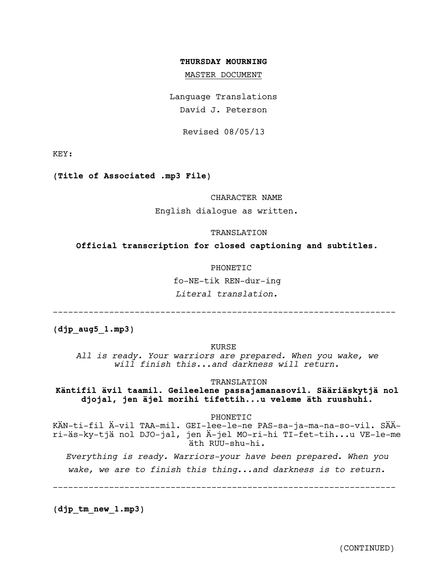#### THURSDAY MOURNING

MASTER DOCUMENT

Language Translations David J. Peterson

Revised 08/05/13

KEY:

(Title of Associated .mp3 File)

#### CHARACTER NAME

English dialoque as written.

#### TRANSLATION

Official transcription for closed captioning and subtitles.

#### PHONETIC

fo-NE-tik REN-dur-ing

Literal translation.

 $(djp \; aug5 \; l.mp3)$ 

KURSE

All is ready. Your warriors are prepared. When you wake, we will finish this...and darkness will return.

TRANSLATION

Käntifil ävil taamil. Geileelene passajamanasovil. Sääriäskytjä nol djojal, jen äjel morihi tifettih...u veleme äth ruushuhi.

PHONETIC

KÄN-ti-fil Ä-vil TAA-mil. GEI-lee-le-ne PAS-sa-ja-ma-na-so-vil. SÄÄri-äs-ky-tjä nol DJO-jal, jen Ä-jel MO-ri-hi TI-fet-tih...u VE-le-me äth RUU-shu-hi.

Everything is ready. Warriors-your have been prepared. When you wake, we are to finish this thing...and darkness is to return.

 $(djptm new 1.mp3)$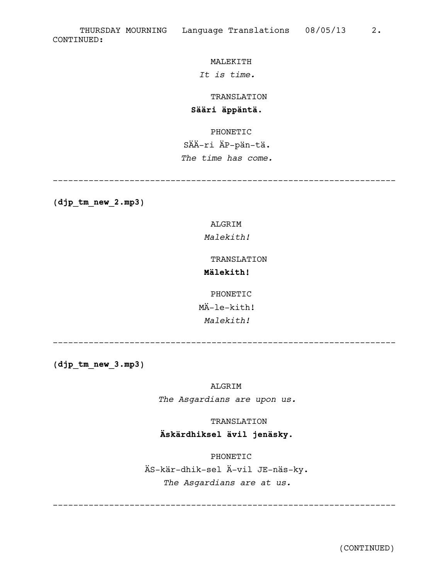### MALEKITH

## *It is time.*

TRANSLATION

## **Sääri äppäntä.**

PHONETIC

# SÄÄ-ri ÄP-pän-tä.

*The time has come.*

-------------------------------------------------------------------

**(djp\_tm\_new\_2.mp3)**

## ALGRIM

## *Malekith!*

#### TRANSLATION

## **Mälekith!**

PHONETIC MÄ-le-kith! *Malekith!*

-------------------------------------------------------------------

**(djp\_tm\_new\_3.mp3)**

ALGRIM

*The Asgardians are upon us.*

TRANSLATION

## **Äskärdhiksel ävil jenäsky.**

PHONETIC ÄS-kär-dhik-sel Ä-vil JE-näs-ky. *The Asgardians are at us.*

-------------------------------------------------------------------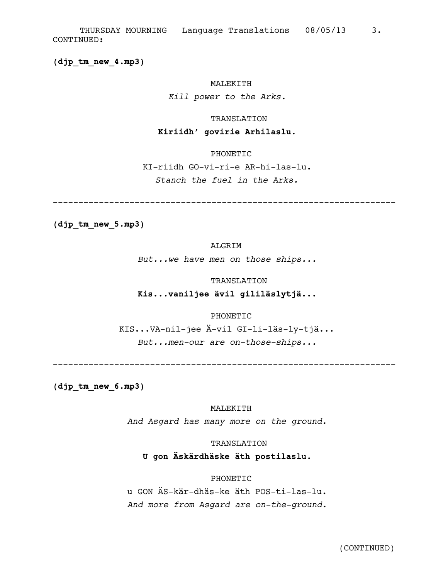(djp tm new 4.mp3)

#### MALEKITH

Kill power to the Arks.

#### **TRANSLATION**

#### Kiriidh' govirie Arhilaslu.

## PHONETIC

KI-riidh GO-vi-ri-e AR-hi-las-lu. Stanch the fuel in the Arks.

(djp tm new 5.mp3)

## ALGRIM

But...we have men on those ships...

#### TRANSLATION

## Kis...vaniljee ävil gililäslytjä...

## PHONETIC

KIS...VA-nil-jee Ä-vil GI-li-läs-ly-tjä... But...men-our are on-those-ships...

 $(djptm new 6.mp3)$ 

#### MALEKITH

And Asgard has many more on the ground.

#### TRANSLATION

U gon Äskärdhäske äth postilaslu.

#### PHONETIC

u GON ÄS-kär-dhäs-ke äth POS-ti-las-lu. And more from Asgard are on-the-ground.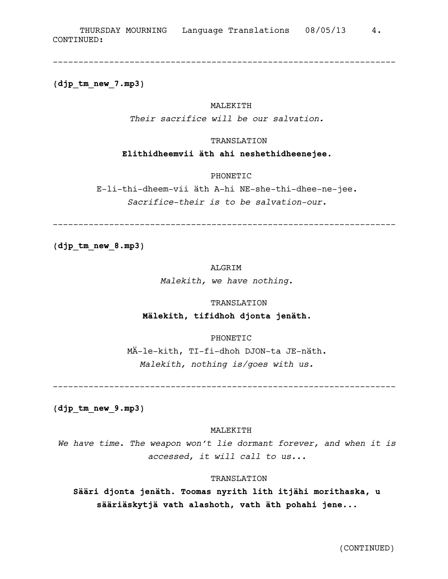**(djp\_tm\_new\_7.mp3)**

#### MALEKITH

-------------------------------------------------------------------

*Their sacrifice will be our salvation.*

#### TRANSLATION

**Elithidheemvii äth ahi neshethidheenejee.**

PHONETIC

E-li-thi-dheem-vii äth A-hi NE-she-thi-dhee-ne-jee. *Sacrifice-their is to be salvation-our.*

-------------------------------------------------------------------

**(djp\_tm\_new\_8.mp3)**

## ALGRIM

*Malekith, we have nothing.*

TRANSLATION

## **Mälekith, tifidhoh djonta jenäth.**

#### PHONETIC

MÄ-le-kith, TI-fi-dhoh DJON-ta JE-näth. *Malekith, nothing is/goes with us.*

-------------------------------------------------------------------

**(djp\_tm\_new\_9.mp3)**

#### MALEKITH

*We have time. The weapon won't lie dormant forever, and when it is accessed, it will call to us...*

#### TRANSLATION

**Sääri djonta jenäth. Toomas nyrith lith itjähi morithaska, u sääriäskytjä vath alashoth, vath äth pohahi jene...**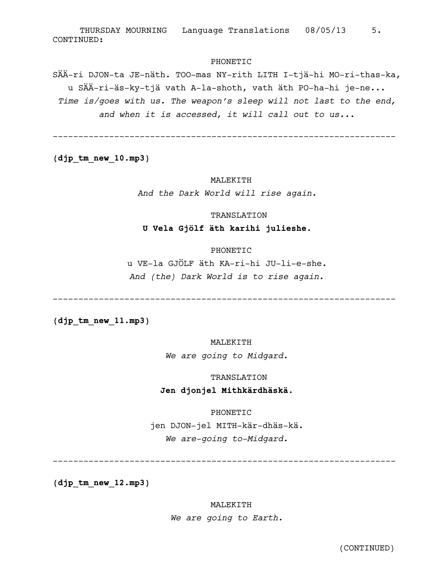#### PHONETIC

SÄÄ-ri DJON-ta JE-näth. TOO-mas NY-rith LITH I-tjä-hi MO-ri-thas-ka, u SÄÄ-ri-äs-ky-tjä vath A-la-shoth, vath äth PO-ha-hi je-ne... Time is/goes with us. The weapon's sleep will not last to the end, and when it is accessed, it will call out to us...

 $(djptm new 10.mp3)$ 

#### MALEKITH

And the Dark World will rise again.

#### **TRANSLATION**

#### U Vela Gjölf äth karihi julieshe.

#### PHONETIC

u VE-la GJÖLF äth KA-ri-hi JU-li-e-she. And (the) Dark World is to rise again.

 $(djptm new 11.mp3)$ 

### MALEKITH

We are going to Midgard.

#### TRANSLATION

## Jen djonjel Mithkärdhäskä.

PHONETIC

jen DJON-jel MITH-kär-dhäs-kä. We are-going to-Midgard.

 $(djptm new 12.mp3)$ 

#### MALEKITH

We are going to Earth.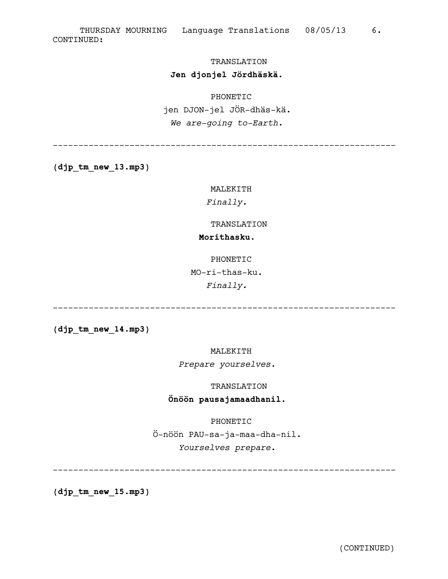## TRANSLATION

## **Jen djonjel Jördhäskä.**

## PHONETIC

jen DJON-jel JÖR-dhäs-kä. *We are-going to-Earth.*

-------------------------------------------------------------------

**(djp\_tm\_new\_13.mp3)**

MALEKITH

*Finally.*

#### TRANSLATION

## **Morithasku.**

PHONETIC

MO-ri-thas-ku.

*Finally.*

-------------------------------------------------------------------

**(djp\_tm\_new\_14.mp3)**

MALEKITH

*Prepare yourselves.*

## TRANSLATION

## **Önöön pausajamaadhanil.**

PHONETIC

Ö-nöön PAU-sa-ja-maa-dha-nil. *Yourselves prepare.*

-------------------------------------------------------------------

**(djp\_tm\_new\_15.mp3)**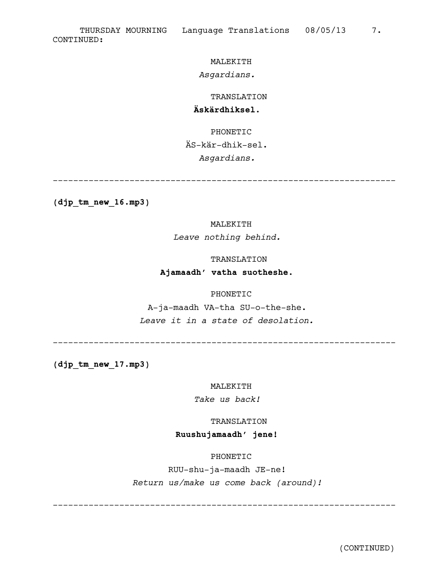## MALEKITH

## *Asgardians.*

TRANSLATION

## **Äskärdhiksel.**

PHONETIC ÄS-kär-dhik-sel. *Asgardians.*

**(djp\_tm\_new\_16.mp3)**

### MALEKITH

*Leave nothing behind.*

#### TRANSLATION

-------------------------------------------------------------------

## **Ajamaadh' vatha suotheshe.**

## PHONETIC

A-ja-maadh VA-tha SU-o-the-she. *Leave it in a state of desolation.*

-------------------------------------------------------------------

**(djp\_tm\_new\_17.mp3)**

#### MALEKITH

*Take us back!*

TRANSLATION

## **Ruushujamaadh' jene!**

PHONETIC

RUU-shu-ja-maadh JE-ne! *Return us/make us come back (around)!*

-------------------------------------------------------------------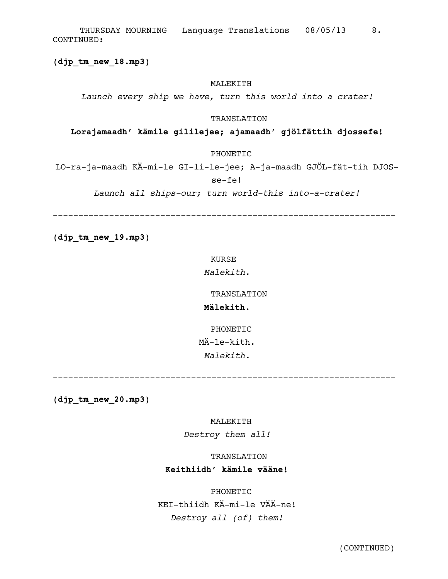CONTINUED: THURSDAY MOURNING Language Translations 08/05/13 8.

**(djp\_tm\_new\_18.mp3)**

#### MALEKITH

*Launch every ship we have, turn this world into a crater!*

#### TRANSLATION

#### **Lorajamaadh' kämile gililejee; ajamaadh' gjölfättih djossefe!**

PHONETIC

LO-ra-ja-maadh KÄ-mi-le GI-li-le-jee; A-ja-maadh GJÖL-fät-tih DJOSse-fe!

*Launch all ships-our; turn world-this into-a-crater!*

-------------------------------------------------------------------

**(djp\_tm\_new\_19.mp3)**

KURSE

*Malekith.*

TRANSLATION

### **Mälekith.**

PHONETIC MÄ-le-kith. *Malekith.*

-------------------------------------------------------------------

**(djp\_tm\_new\_20.mp3)**

MALEKITH

*Destroy them all!*

TRANSLATION

### **Keithiidh' kämile vääne!**

PHONETIC

KEI-thiidh KÄ-mi-le VÄÄ-ne! *Destroy all (of) them!*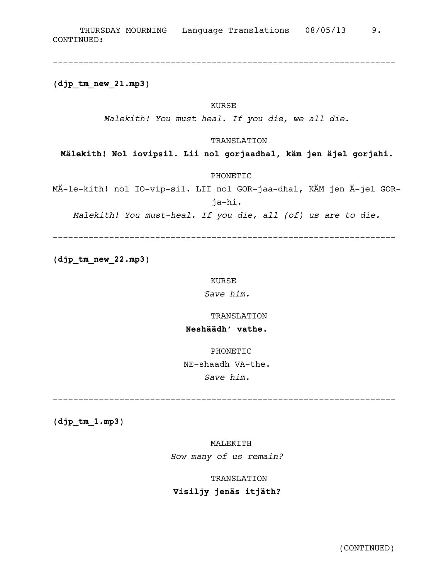**(djp\_tm\_new\_21.mp3)**

## KURSE

*Malekith! You must heal. If you die, we all die.*

-------------------------------------------------------------------

### TRANSLATION

**Mälekith! Nol iovipsil. Lii nol gorjaadhal, käm jen äjel gorjahi.**

PHONETIC

MÄ-le-kith! nol IO-vip-sil. LII nol GOR-jaa-dhal, KÄM jen Ä-jel GORja-hi.

*Malekith! You must-heal. If you die, all (of) us are to die.*

-------------------------------------------------------------------

**(djp\_tm\_new\_22.mp3)**

#### KURSE

*Save him.*

#### TRANSLATION

## **Neshäädh' vathe.**

PHONETIC

NE-shaadh VA-the.

*Save him.*

-------------------------------------------------------------------

**(djp\_tm\_1.mp3)**

### MALEKITH

*How many of us remain?*

## TRANSLATION

## **Visiljy jenäs itjäth?**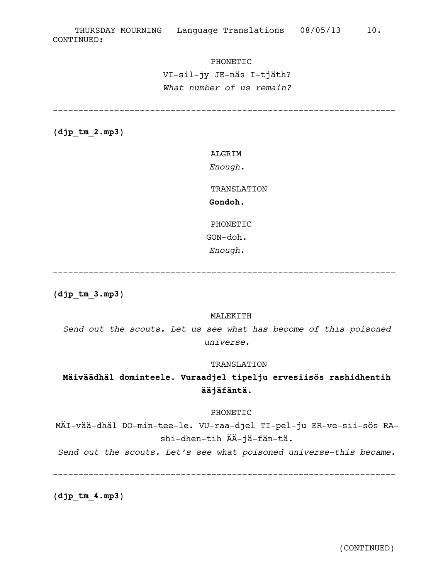#### PHONETIC

VI-sil-jy JE-näs I-tjäth? What number of us remain?

 $(djptm2mp3)$ 

ALGRIM

Enough.

TRANSLATION Gondoh.

PHONETIC

GON-doh.

Enough.

\_\_\_\_\_\_\_\_\_\_\_\_\_\_\_\_\_\_\_\_\_ \_\_\_\_\_\_\_\_\_\_\_\_\_\_\_\_\_\_\_\_\_\_\_\_\_\_\_\_\_\_\_\_\_\_

 $(djptm3.mp3)$ 

#### MALEKITH

Send out the scouts. Let us see what has become of this poisoned universe.

#### TRANSLATION

## Mäiväädhäl dominteele. Vuraadjel tipelju ervesiisös rashidhentih ääjäfäntä.

#### PHONETIC

MÄI-vää-dhäl DO-min-tee-le. VU-raa-djel TI-pel-ju ER-ve-sii-sös RAshi-dhen-tih ÄÄ-jä-fän-tä.

Send out the scouts. Let's see what poisoned universe-this became.

 $(djptm_4.mp3)$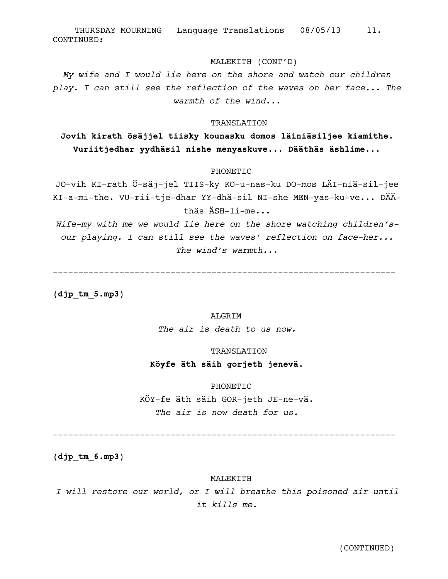#### MALEKITH (CONT'D)

My wife and I would lie here on the shore and watch our children play. I can still see the reflection of the waves on her face... The warmth of the wind...

#### TRANSLATION

## Jovih kirath ösäjjel tiisky kounasku domos läiniäsiljee kiamithe. Vuriitjedhar yydhäsil nishe menyaskuve... Dääthäs äshlime...

#### PHONETIC

JO-vih KI-rath Ö-säj-jel TIIS-ky KO-u-nas-ku DO-mos LÄI-niä-sil-jee KI-a-mi-the. VU-rii-tje-dhar YY-dhä-sil NI-she MEN-yas-ku-ve... DÄÄthäs ÄSH-li-me...

Wife-my with me we would lie here on the shore watching children'sour playing. I can still see the waves' reflection on face-her... The wind's warmth...

 $(djptm 5.mp3)$ 

## ALGRIM

The air is death to us now.

#### TRANSLATION

## Köyfe äth säih gorjeth jenevä.

#### PHONETIC

KÖY-fe äth säih GOR-jeth JE-ne-vä. The air is now death for us.

 $(djptm 6.mp3)$ 

#### MALEKITH

I will restore our world, or I will breathe this poisoned air until it  $kijls$  me.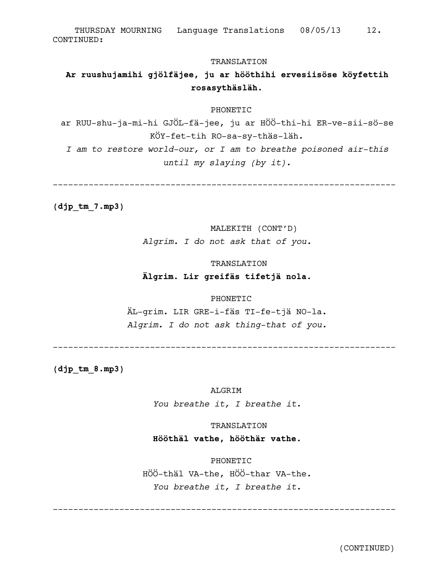THURSDAY MOURNING Language Translations 08/05/13 12. CONTINUED:

#### TRANSLATION

## Ar ruushujamihi gjölfäjee, ju ar hööthihi ervesiisöse köyfettih rosasythäsläh.

#### PHONETIC

ar RUU-shu-ja-mi-hi GJÖL-fä-jee, ju ar HÖÖ-thi-hi ER-ve-sii-sö-se KÖY-fet-tih RO-sa-sy-thäs-läh.

I am to restore world-our, or I am to breathe poisoned air-this until my slaying (by it).

 $(djptm7.mp3)$ 

#### MALEKITH (CONT'D)

Algrim. I do not ask that of you.

#### TRANSLATION

## Älgrim. Lir greifäs tifetjä nola.

#### PHONETIC

ÄL-grim. LIR GRE-i-fäs TI-fe-tjä NO-la. Algrim. I do not ask thing-that of you.

 $(djptm 8.mp3)$ 

**ALGRIM** 

You breathe it, I breathe it.

## TRANSLATION

## Hööthäl vathe, hööthär vathe.

PHONETIC HÖÖ-thäl VA-the, HÖÖ-thar VA-the. You breathe it, I breathe it.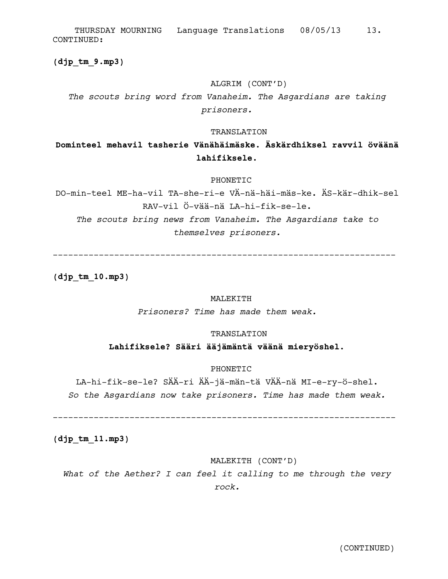CONTINUED: THURSDAY MOURNING Language Translations 08/05/13 13.

**(djp\_tm\_9.mp3)**

## ALGRIM (CONT'D)

*The scouts bring word from Vanaheim. The Asgardians are taking prisoners.*

#### TRANSLATION

## **Dominteel mehavil tasherie Vänähäimäske. Äskärdhiksel ravvil öväänä lahifiksele.**

#### PHONETIC

DO-min-teel ME-ha-vil TA-she-ri-e VÄ-nä-häi-mäs-ke. ÄS-kär-dhik-sel RAV-vil Ö-vää-nä LA-hi-fik-se-le. *The scouts bring news from Vanaheim. The Asgardians take to themselves prisoners.*

-------------------------------------------------------------------

**(djp\_tm\_10.mp3)**

#### MALEKITH

*Prisoners? Time has made them weak.*

#### TRANSLATION

## **Lahifiksele? Sääri ääjämäntä väänä mieryöshel.**

#### PHONETIC

LA-hi-fik-se-le? SÄÄ-ri ÄÄ-jä-män-tä VÄÄ-nä MI-e-ry-ö-shel. *So the Asgardians now take prisoners. Time has made them weak.*

-------------------------------------------------------------------

**(djp\_tm\_11.mp3)**

## MALEKITH (CONT'D)

*What of the Aether? I can feel it calling to me through the very rock.*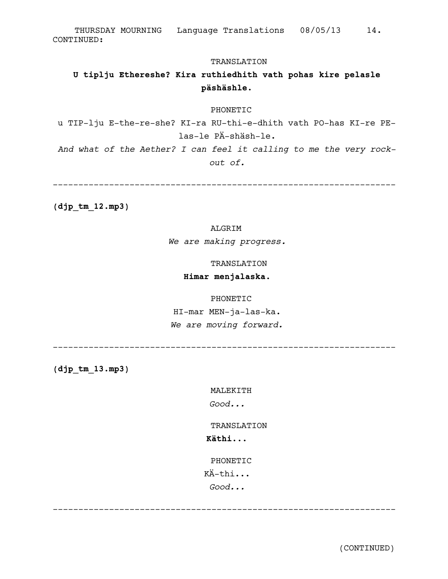CONTINUED: THURSDAY MOURNING Language Translations 08/05/13 14.

#### TRANSLATION

## **U tiplju Ethereshe? Kira ruthiedhith vath pohas kire pelasle päshäshle.**

#### PHONETIC

u TIP-lju E-the-re-she? KI-ra RU-thi-e-dhith vath PO-has KI-re PElas-le PÄ-shäsh-le.

*And what of the Aether? I can feel it calling to me the very rockout of.*

-------------------------------------------------------------------

**(djp\_tm\_12.mp3)**

## ALGRIM

*We are making progress.*

TRANSLATION

### **Himar menjalaska.**

PHONETIC

HI-mar MEN-ja-las-ka. *We are moving forward.*

**(djp\_tm\_13.mp3)**

MALEKITH

-------------------------------------------------------------------

*Good...*

TRANSLATION

## **Käthi...**

PHONETIC

KÄ-thi...

*Good...*

-------------------------------------------------------------------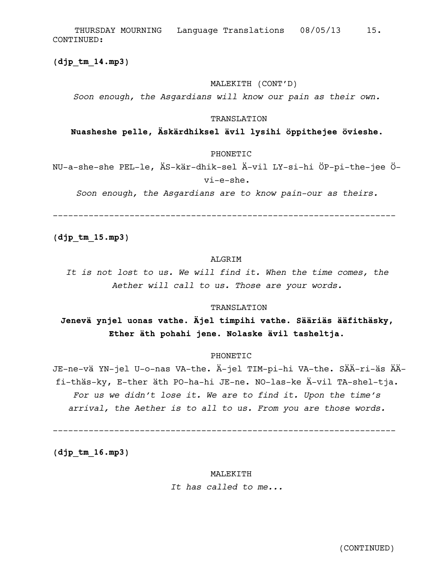$(djptm14.mp3)$ 

### MALEKITH (CONT'D)

Soon enough, the Asgardians will know our pain as their own.

#### TRANSLATION

#### Nuasheshe pelle, Äskärdhiksel ävil lysihi öppithejee övieshe.

#### PHONETIC

NU-a-she-she PEL-le, ÄS-kär-dhik-sel Ä-vil LY-si-hi ÖP-pi-the-jee Övi-e-she.

Soon enough, the Asgardians are to know pain-our as theirs.

 $(djptm 15.mp3)$ 

### **ALGRTM**

It is not lost to us. We will find it. When the time comes, the Aether will call to us. Those are your words.

#### TRANSLATION

## Jenevä ynjel uonas vathe. Äjel timpihi vathe. Sääriäs ääfithäsky, Ether äth pohahi jene. Nolaske ävil tasheltja.

#### **PHONETIC**

JE-ne-vä YN-jel U-o-nas VA-the. Ä-jel TIM-pi-hi VA-the. SÄÄ-ri-äs ÄÄfi-thäs-ky, E-ther äth PO-ha-hi JE-ne. NO-las-ke Ä-vil TA-shel-tja. For us we didn't lose it. We are to find it. Upon the time's arrival, the Aether is to all to us. From you are those words.

 $(djptm16.mp3)$ 

#### MALEKITH

It has called to me...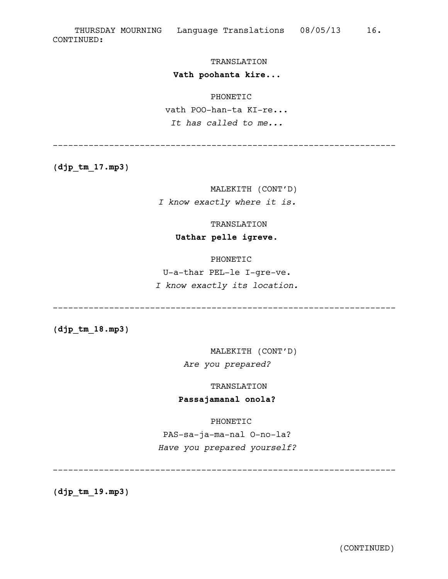#### TRANSLATION

#### **Vath poohanta kire...**

#### PHONETIC

vath POO-han-ta KI-re... *It has called to me...*

-------------------------------------------------------------------

**(djp\_tm\_17.mp3)**

## MALEKITH (CONT'D) *I know exactly where it is.*

#### TRANSLATION

## **Uathar pelle igreve.**

## PHONETIC

U-a-thar PEL-le I-gre-ve. *I know exactly its location.*

-------------------------------------------------------------------

**(djp\_tm\_18.mp3)**

MALEKITH (CONT'D) *Are you prepared?*

TRANSLATION

## **Passajamanal onola?**

PHONETIC

PAS-sa-ja-ma-nal O-no-la? *Have you prepared yourself?*

-------------------------------------------------------------------

**(djp\_tm\_19.mp3)**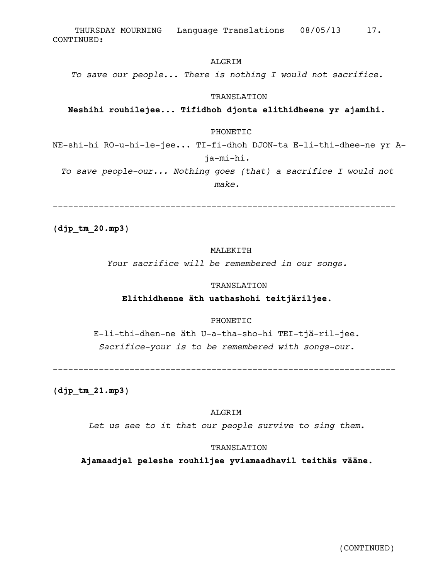CONTINUED: THURSDAY MOURNING Language Translations 08/05/13 17.

### ALGRIM

*To save our people... There is nothing I would not sacrifice.*

#### TRANSLATION

#### **Neshihi rouhilejee... Tifidhoh djonta elithidheene yr ajamihi.**

#### PHONETIC

NE-shi-hi RO-u-hi-le-jee... TI-fi-dhoh DJON-ta E-li-thi-dhee-ne yr Aja-mi-hi.

*To save people-our... Nothing goes (that) a sacrifice I would not make.*

-------------------------------------------------------------------

**(djp\_tm\_20.mp3)**

#### MALEKITH

*Your sacrifice will be remembered in our songs.*

#### TRANSLATION

### **Elithidhenne äth uathashohi teitjäriljee.**

#### PHONETIC

E-li-thi-dhen-ne äth U-a-tha-sho-hi TEI-tjä-ril-jee. *Sacrifice-your is to be remembered with songs-our.*

-------------------------------------------------------------------

**(djp\_tm\_21.mp3)**

#### ALGRIM

*Let us see to it that our people survive to sing them.*

#### TRANSLATION

**Ajamaadjel peleshe rouhiljee yviamaadhavil teithäs vääne.**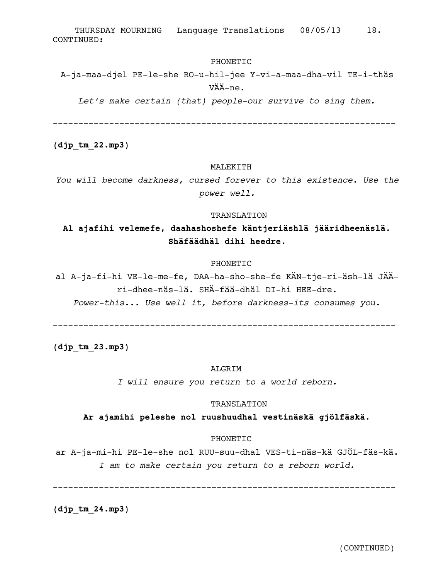### PHONETIC

A-ja-maa-djel PE-le-she RO-u-hil-jee Y-vi-a-maa-dha-vil TE-i-thäs VÄÄ-ne.

*Let's make certain (that) people-our survive to sing them.*

-------------------------------------------------------------------

**(djp\_tm\_22.mp3)**

#### MALEKITH

*You will become darkness, cursed forever to this existence. Use the power well.*

#### TRANSLATION

## **Al ajafihi velemefe, daahashoshefe käntjeriäshlä jääridheenäslä. Shäfäädhäl dihi heedre.**

#### PHONETIC

al A-ja-fi-hi VE-le-me-fe, DAA-ha-sho-she-fe KÄN-tje-ri-äsh-lä JÄÄri-dhee-näs-lä. SHÄ-fää-dhäl DI-hi HEE-dre.

*Power-this... Use well it, before darkness-its consumes you.*

-------------------------------------------------------------------

**(djp\_tm\_23.mp3)**

#### ALGRIM

*I will ensure you return to a world reborn.*

#### TRANSLATION

**Ar ajamihi peleshe nol ruushuudhal vestinäskä gjölfäskä.**

## PHONETIC

ar A-ja-mi-hi PE-le-she nol RUU-suu-dhal VES-ti-näs-kä GJÖL-fäs-kä. *I am to make certain you return to a reborn world.*

-------------------------------------------------------------------

**(djp\_tm\_24.mp3)**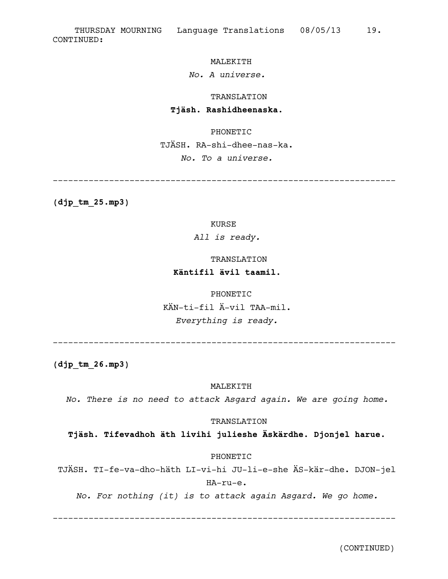## MALEKITH

## *No. A universe.*

TRANSLATION

-------------------------------------------------------------------

#### **Tjäsh. Rashidheenaska.**

PHONETIC TJÄSH. RA-shi-dhee-nas-ka. *No. To a universe.*

**(djp\_tm\_25.mp3)**

KURSE

*All is ready.*

TRANSLATION

## **Käntifil ävil taamil.**

PHONETIC KÄN-ti-fil Ä-vil TAA-mil. *Everything is ready.*

-------------------------------------------------------------------

**(djp\_tm\_26.mp3)**

#### MALEKITH

*No. There is no need to attack Asgard again. We are going home.*

#### TRANSLATION

**Tjäsh. Tifevadhoh äth livihi julieshe Äskärdhe. Djonjel harue.**

## PHONETIC

TJÄSH. TI-fe-va-dho-häth LI-vi-hi JU-li-e-she ÄS-kär-dhe. DJON-jel HA-ru-e.

*No. For nothing (it) is to attack again Asgard. We go home.*

-------------------------------------------------------------------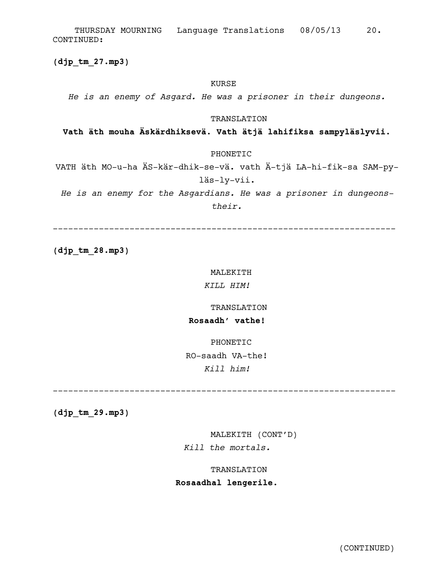CONTINUED: THURSDAY MOURNING Language Translations 08/05/13 20.

**(djp\_tm\_27.mp3)**

#### KURSE

*He is an enemy of Asgard. He was a prisoner in their dungeons.*

#### TRANSLATION

## **Vath äth mouha Äskärdhiksevä. Vath ätjä lahifiksa sampyläslyvii.**

PHONETIC

VATH äth MO-u-ha ÄS-kär-dhik-se-vä. vath Ä-tjä LA-hi-fik-sa SAM-pyläs-ly-vii.

*He is an enemy for the Asgardians. He was a prisoner in dungeonstheir.*

-------------------------------------------------------------------

**(djp\_tm\_28.mp3)**

#### MALEKITH

*KILL HIM!*

#### TRANSLATION

## **Rosaadh' vathe!**

PHONETIC RO-saadh VA-the! *Kill him!*

-------------------------------------------------------------------

**(djp\_tm\_29.mp3)**

MALEKITH (CONT'D) *Kill the mortals.*

TRANSLATION

## **Rosaadhal lengerile.**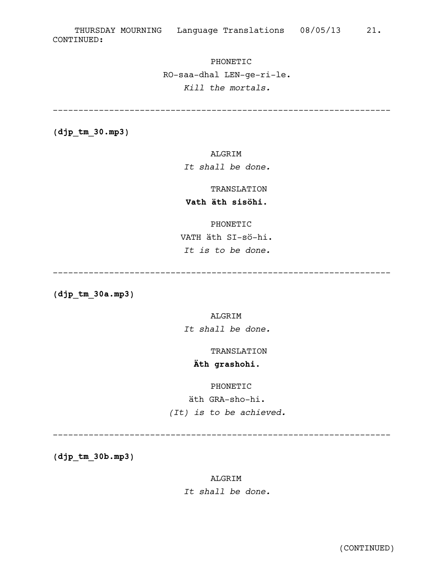## PHONETIC

RO-saa-dhal LEN-ge-ri-le. *Kill the mortals.*

------------------------------------------------------------------

**(djp\_tm\_30.mp3)**

## ALGRIM

*It shall be done.*

## TRANSLATION

## **Vath äth sisöhi.**

#### PHONETIC

VATH äth SI-sö-hi. *It is to be done.*

------------------------------------------------------------------

**(djp\_tm\_30a.mp3)**

## ALGRIM

*It shall be done.*

TRANSLATION

## **Äth grashohi.**

## PHONETIC

äth GRA-sho-hi. *(It) is to be achieved.*

------------------------------------------------------------------

**(djp\_tm\_30b.mp3)**

## ALGRIM

*It shall be done.*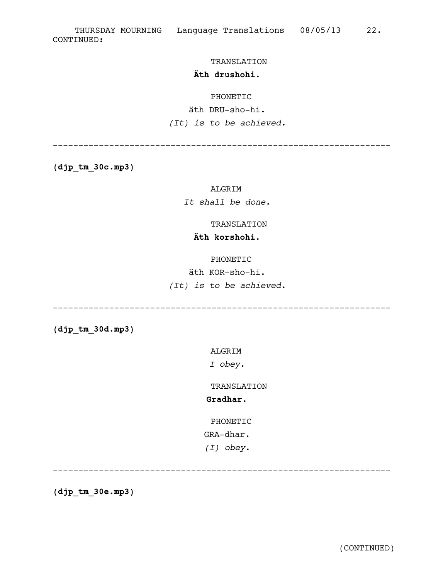#### TRANSLATION

## **Äth drushohi.**

### PHONETIC

## äth DRU-sho-hi. *(It) is to be achieved.*

------------------------------------------------------------------

**(djp\_tm\_30c.mp3)**

## ALGRIM

*It shall be done.*

## TRANSLATION

## **Äth korshohi.**

#### PHONETIC

äth KOR-sho-hi.

*(It) is to be achieved.*

------------------------------------------------------------------

**(djp\_tm\_30d.mp3)**

ALGRIM

*I obey.*

TRANSLATION

## **Gradhar.**

PHONETIC

GRA-dhar.

*(I) obey.*

------------------------------------------------------------------

**(djp\_tm\_30e.mp3)**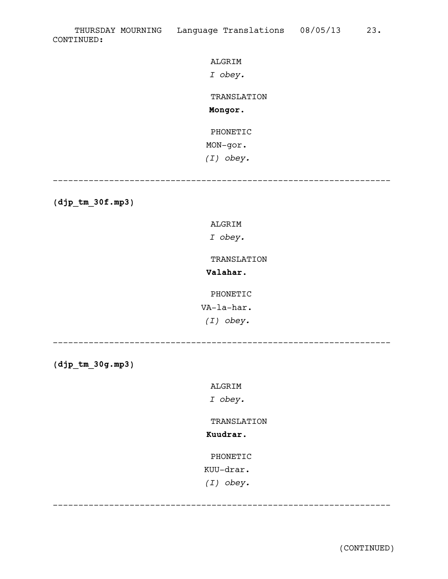ALGRIM

*I obey.*

TRANSLATION

**Mongor.**

PHONETIC MON-gor.

*(I) obey.*

------------------------------------------------------------------

**(djp\_tm\_30f.mp3)**

ALGRIM

*I obey.*

TRANSLATION

**Valahar.**

PHONETIC

VA-la-har.

*(I) obey.*

------------------------------------------------------------------

**(djp\_tm\_30g.mp3)**

ALGRIM

*I obey.*

TRANSLATION

**Kuudrar.**

PHONETIC

KUU-drar.

*(I) obey.*

------------------------------------------------------------------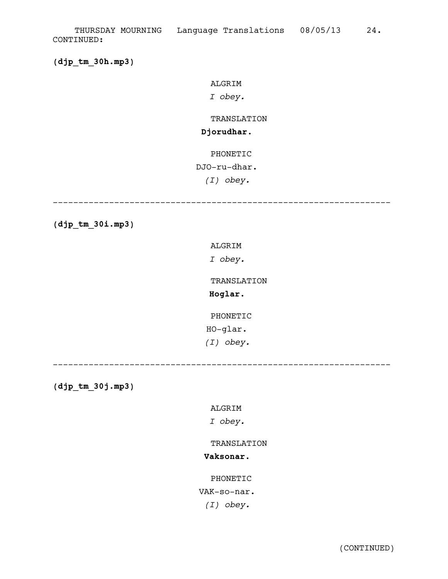**(djp\_tm\_30h.mp3)**

ALGRIM

*I obey.*

## TRANSLATION

## **Djorudhar.**

PHONETIC

## DJO-ru-dhar.

*(I) obey.*

------------------------------------------------------------------

**(djp\_tm\_30i.mp3)**

ALGRIM

*I obey.*

TRANSLATION

**Hoglar.**

PHONETIC HO-glar. *(I) obey.*

------------------------------------------------------------------

**(djp\_tm\_30j.mp3)**

ALGRIM

*I obey.*

TRANSLATION

## **Vaksonar.**

PHONETIC

VAK-so-nar.

*(I) obey.*